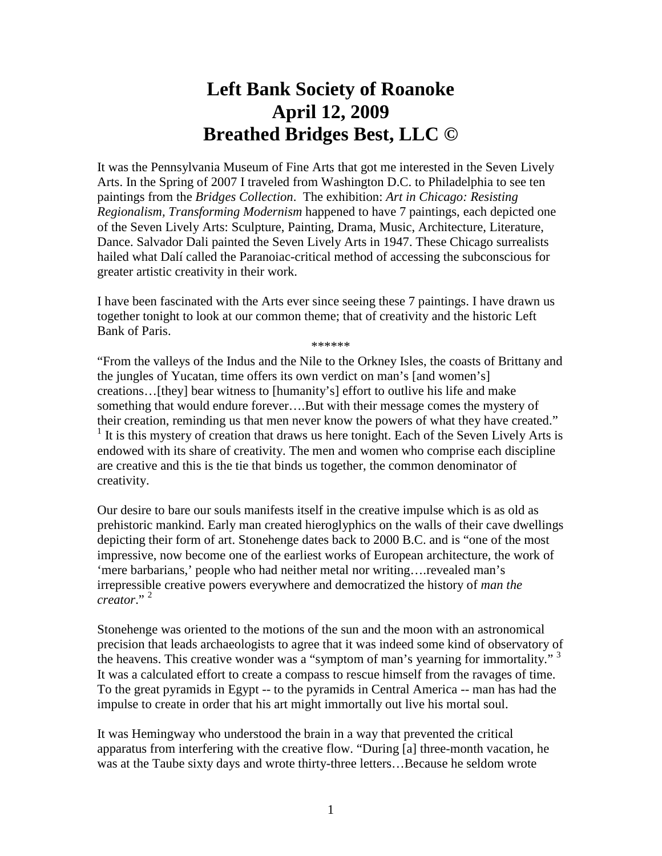## **Left Bank Society of Roanoke April 12, 2009 Breathed Bridges Best, LLC ©**

It was the Pennsylvania Museum of Fine Arts that got me interested in the Seven Lively Arts. In the Spring of 2007 I traveled from Washington D.C. to Philadelphia to see ten paintings from the *Bridges Collection*. The exhibition: *Art in Chicago: Resisting Regionalism, Transforming Modernism* happened to have 7 paintings, each depicted one of the Seven Lively Arts: Sculpture, Painting, Drama, Music, Architecture, Literature, Dance. Salvador Dali painted the Seven Lively Arts in 1947. These Chicago surrealists hailed what Dalí called the Paranoiac-critical method of accessing the subconscious for greater artistic creativity in their work.

I have been fascinated with the Arts ever since seeing these 7 paintings. I have drawn us together tonight to look at our common theme; that of creativity and the historic Left Bank of Paris.

\*\*\*\*\*\*

"From the valleys of the Indus and the Nile to the Orkney Isles, the coasts of Brittany and the jungles of Yucatan, time offers its own verdict on man's [and women's] creations…[they] bear witness to [humanity's] effort to outlive his life and make something that would endure forever….But with their message comes the mystery of their creation, reminding us that men never know the powers of what they have created." <sup>1</sup> It is this mystery of creation that draws us here tonight. Each of the Seven Lively Arts is endowed with its share of creativity. The men and women who comprise each discipline are creative and this is the tie that binds us together, the common denominator of creativity.

Our desire to bare our souls manifests itself in the creative impulse which is as old as prehistoric mankind. Early man created hieroglyphics on the walls of their cave dwellings depicting their form of art. Stonehenge dates back to 2000 B.C. and is "one of the most impressive, now become one of the earliest works of European architecture, the work of 'mere barbarians,' people who had neither metal nor writing….revealed man's irrepressible creative powers everywhere and democratized the history of *man the creator*." <sup>2</sup>

Stonehenge was oriented to the motions of the sun and the moon with an astronomical precision that leads archaeologists to agree that it was indeed some kind of observatory of the heavens. This creative wonder was a "symptom of man's yearning for immortality."<sup>3</sup> It was a calculated effort to create a compass to rescue himself from the ravages of time. To the great pyramids in Egypt -- to the pyramids in Central America -- man has had the impulse to create in order that his art might immortally out live his mortal soul.

It was Hemingway who understood the brain in a way that prevented the critical apparatus from interfering with the creative flow. "During [a] three-month vacation, he was at the Taube sixty days and wrote thirty-three letters…Because he seldom wrote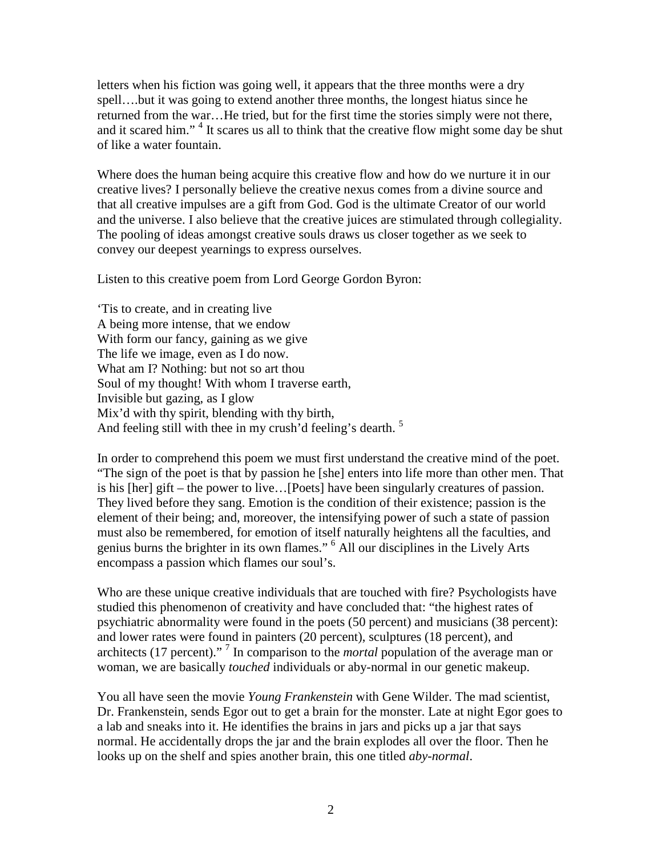letters when his fiction was going well, it appears that the three months were a dry spell….but it was going to extend another three months, the longest hiatus since he returned from the war…He tried, but for the first time the stories simply were not there, and it scared him."<sup>4</sup> It scares us all to think that the creative flow might some day be shut of like a water fountain.

Where does the human being acquire this creative flow and how do we nurture it in our creative lives? I personally believe the creative nexus comes from a divine source and that all creative impulses are a gift from God. God is the ultimate Creator of our world and the universe. I also believe that the creative juices are stimulated through collegiality. The pooling of ideas amongst creative souls draws us closer together as we seek to convey our deepest yearnings to express ourselves.

Listen to this creative poem from Lord George Gordon Byron:

'Tis to create, and in creating live A being more intense, that we endow With form our fancy, gaining as we give The life we image, even as I do now. What am I? Nothing: but not so art thou Soul of my thought! With whom I traverse earth, Invisible but gazing, as I glow Mix'd with thy spirit, blending with thy birth, And feeling still with thee in my crush'd feeling's dearth.<sup>5</sup>

In order to comprehend this poem we must first understand the creative mind of the poet. "The sign of the poet is that by passion he [she] enters into life more than other men. That is his [her] gift – the power to live…[Poets] have been singularly creatures of passion. They lived before they sang. Emotion is the condition of their existence; passion is the element of their being; and, moreover, the intensifying power of such a state of passion must also be remembered, for emotion of itself naturally heightens all the faculties, and genius burns the brighter in its own flames."<sup>6</sup> All our disciplines in the Lively Arts encompass a passion which flames our soul's.

Who are these unique creative individuals that are touched with fire? Psychologists have studied this phenomenon of creativity and have concluded that: "the highest rates of psychiatric abnormality were found in the poets (50 percent) and musicians (38 percent): and lower rates were found in painters (20 percent), sculptures (18 percent), and architects (17 percent)." <sup>7</sup> In comparison to the *mortal* population of the average man or woman, we are basically *touched* individuals or aby-normal in our genetic makeup.

You all have seen the movie *Young Frankenstein* with Gene Wilder. The mad scientist, Dr. Frankenstein, sends Egor out to get a brain for the monster. Late at night Egor goes to a lab and sneaks into it. He identifies the brains in jars and picks up a jar that says normal. He accidentally drops the jar and the brain explodes all over the floor. Then he looks up on the shelf and spies another brain, this one titled *aby-normal*.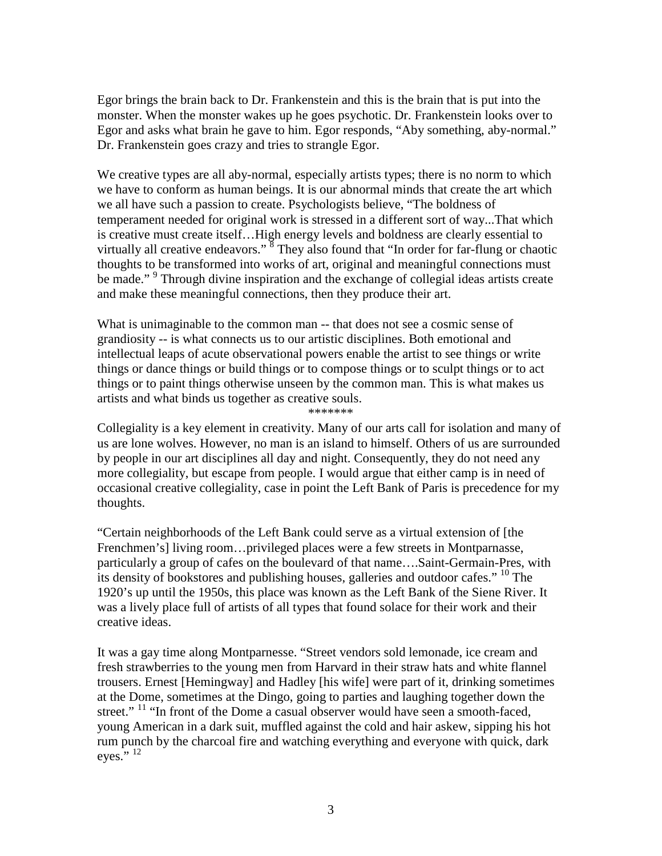Egor brings the brain back to Dr. Frankenstein and this is the brain that is put into the monster. When the monster wakes up he goes psychotic. Dr. Frankenstein looks over to Egor and asks what brain he gave to him. Egor responds, "Aby something, aby-normal." Dr. Frankenstein goes crazy and tries to strangle Egor.

We creative types are all aby-normal, especially artists types; there is no norm to which we have to conform as human beings. It is our abnormal minds that create the art which we all have such a passion to create. Psychologists believe, "The boldness of temperament needed for original work is stressed in a different sort of way...That which is creative must create itself…High energy levels and boldness are clearly essential to virtually all creative endeavors."  $\frac{8}{3}$  They also found that "In order for far-flung or chaotic thoughts to be transformed into works of art, original and meaningful connections must be made."<sup>9</sup> Through divine inspiration and the exchange of collegial ideas artists create and make these meaningful connections, then they produce their art.

What is unimaginable to the common man -- that does not see a cosmic sense of grandiosity -- is what connects us to our artistic disciplines. Both emotional and intellectual leaps of acute observational powers enable the artist to see things or write things or dance things or build things or to compose things or to sculpt things or to act things or to paint things otherwise unseen by the common man. This is what makes us artists and what binds us together as creative souls. \*\*\*\*\*\*\*

Collegiality is a key element in creativity. Many of our arts call for isolation and many of us are lone wolves. However, no man is an island to himself. Others of us are surrounded by people in our art disciplines all day and night. Consequently, they do not need any more collegiality, but escape from people. I would argue that either camp is in need of occasional creative collegiality, case in point the Left Bank of Paris is precedence for my thoughts.

"Certain neighborhoods of the Left Bank could serve as a virtual extension of [the Frenchmen's] living room…privileged places were a few streets in Montparnasse, particularly a group of cafes on the boulevard of that name….Saint-Germain-Pres, with its density of bookstores and publishing houses, galleries and outdoor cafes." <sup>10</sup> The 1920's up until the 1950s, this place was known as the Left Bank of the Siene River. It was a lively place full of artists of all types that found solace for their work and their creative ideas.

It was a gay time along Montparnesse. "Street vendors sold lemonade, ice cream and fresh strawberries to the young men from Harvard in their straw hats and white flannel trousers. Ernest [Hemingway] and Hadley [his wife] were part of it, drinking sometimes at the Dome, sometimes at the Dingo, going to parties and laughing together down the street." <sup>11</sup> "In front of the Dome a casual observer would have seen a smooth-faced, young American in a dark suit, muffled against the cold and hair askew, sipping his hot rum punch by the charcoal fire and watching everything and everyone with quick, dark eves." $^{12}$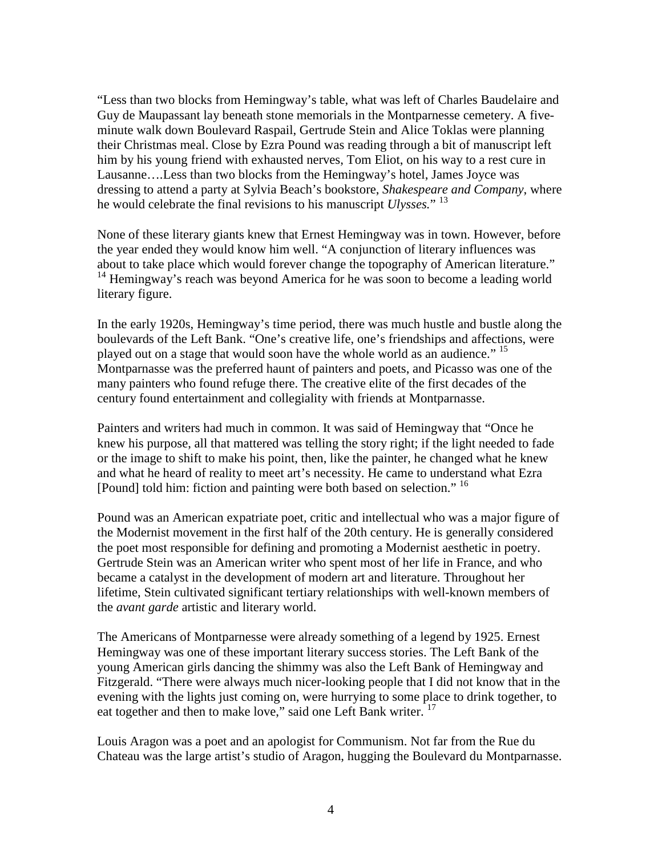"Less than two blocks from Hemingway's table, what was left of Charles Baudelaire and Guy de Maupassant lay beneath stone memorials in the Montparnesse cemetery. A fiveminute walk down Boulevard Raspail, Gertrude Stein and Alice Toklas were planning their Christmas meal. Close by Ezra Pound was reading through a bit of manuscript left him by his young friend with exhausted nerves, Tom Eliot, on his way to a rest cure in Lausanne….Less than two blocks from the Hemingway's hotel, James Joyce was dressing to attend a party at Sylvia Beach's bookstore, *Shakespeare and Company*, where he would celebrate the final revisions to his manuscript *Ulysses.*" <sup>13</sup>

None of these literary giants knew that Ernest Hemingway was in town. However, before the year ended they would know him well. "A conjunction of literary influences was about to take place which would forever change the topography of American literature." <sup>14</sup> Hemingway's reach was beyond America for he was soon to become a leading world literary figure.

In the early 1920s, Hemingway's time period, there was much hustle and bustle along the boulevards of the Left Bank. "One's creative life, one's friendships and affections, were played out on a stage that would soon have the whole world as an audience." <sup>15</sup> Montparnasse was the preferred haunt of painters and poets, and Picasso was one of the many painters who found refuge there. The creative elite of the first decades of the century found entertainment and collegiality with friends at Montparnasse.

Painters and writers had much in common. It was said of Hemingway that "Once he knew his purpose, all that mattered was telling the story right; if the light needed to fade or the image to shift to make his point, then, like the painter, he changed what he knew and what he heard of reality to meet art's necessity. He came to understand what Ezra [Pound] told him: fiction and painting were both based on selection." <sup>16</sup>

Pound was an American expatriate poet, critic and intellectual who was a major figure of the Modernist movement in the first half of the 20th century. He is generally considered the poet most responsible for defining and promoting a Modernist aesthetic in poetry. Gertrude Stein was an American writer who spent most of her life in France, and who became a catalyst in the development of modern art and literature. Throughout her lifetime, Stein cultivated significant tertiary relationships with well-known members of the *avant garde* artistic and literary world.

The Americans of Montparnesse were already something of a legend by 1925. Ernest Hemingway was one of these important literary success stories. The Left Bank of the young American girls dancing the shimmy was also the Left Bank of Hemingway and Fitzgerald. "There were always much nicer-looking people that I did not know that in the evening with the lights just coming on, were hurrying to some place to drink together, to eat together and then to make love," said one Left Bank writer. <sup>17</sup>

Louis Aragon was a poet and an apologist for Communism. Not far from the Rue du Chateau was the large artist's studio of Aragon, hugging the Boulevard du Montparnasse.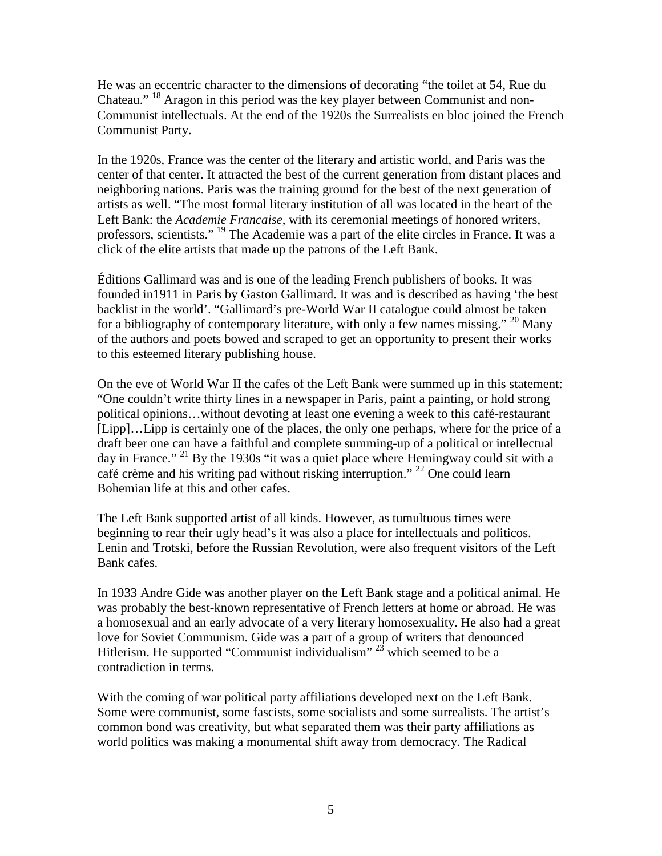He was an eccentric character to the dimensions of decorating "the toilet at 54, Rue du Chateau." <sup>18</sup> Aragon in this period was the key player between Communist and non-Communist intellectuals. At the end of the 1920s the Surrealists en bloc joined the French Communist Party.

In the 1920s, France was the center of the literary and artistic world, and Paris was the center of that center. It attracted the best of the current generation from distant places and neighboring nations. Paris was the training ground for the best of the next generation of artists as well. "The most formal literary institution of all was located in the heart of the Left Bank: the *Academie Francaise*, with its ceremonial meetings of honored writers, professors, scientists." <sup>19</sup> The Academie was a part of the elite circles in France. It was a click of the elite artists that made up the patrons of the Left Bank.

Éditions Gallimard was and is one of the leading French publishers of books. It was founded in1911 in Paris by Gaston Gallimard. It was and is described as having 'the best backlist in the world'. "Gallimard's pre-World War II catalogue could almost be taken for a bibliography of contemporary literature, with only a few names missing." <sup>20</sup> Many of the authors and poets bowed and scraped to get an opportunity to present their works to this esteemed literary publishing house.

On the eve of World War II the cafes of the Left Bank were summed up in this statement: "One couldn't write thirty lines in a newspaper in Paris, paint a painting, or hold strong political opinions…without devoting at least one evening a week to this café-restaurant [Lipp]…Lipp is certainly one of the places, the only one perhaps, where for the price of a draft beer one can have a faithful and complete summing-up of a political or intellectual day in France." <sup>21</sup> By the 1930s "it was a quiet place where Hemingway could sit with a café crème and his writing pad without risking interruption." <sup>22</sup> One could learn Bohemian life at this and other cafes.

The Left Bank supported artist of all kinds. However, as tumultuous times were beginning to rear their ugly head's it was also a place for intellectuals and politicos. Lenin and Trotski, before the Russian Revolution, were also frequent visitors of the Left Bank cafes.

In 1933 Andre Gide was another player on the Left Bank stage and a political animal. He was probably the best-known representative of French letters at home or abroad. He was a homosexual and an early advocate of a very literary homosexuality. He also had a great love for Soviet Communism. Gide was a part of a group of writers that denounced Hitlerism. He supported "Communist individualism"  $^{23}$  which seemed to be a contradiction in terms.

With the coming of war political party affiliations developed next on the Left Bank. Some were communist, some fascists, some socialists and some surrealists. The artist's common bond was creativity, but what separated them was their party affiliations as world politics was making a monumental shift away from democracy. The Radical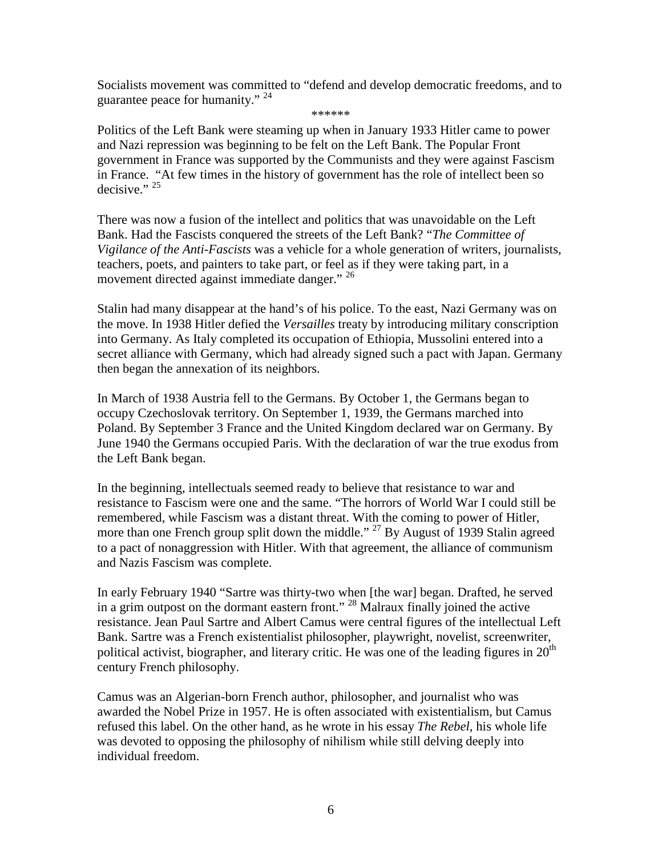Socialists movement was committed to "defend and develop democratic freedoms, and to guarantee peace for humanity." <sup>24</sup>

\*\*\*\*\*\*

Politics of the Left Bank were steaming up when in January 1933 Hitler came to power and Nazi repression was beginning to be felt on the Left Bank. The Popular Front government in France was supported by the Communists and they were against Fascism in France. "At few times in the history of government has the role of intellect been so decisive."  $25$ 

There was now a fusion of the intellect and politics that was unavoidable on the Left Bank. Had the Fascists conquered the streets of the Left Bank? "*The Committee of Vigilance of the Anti-Fascists* was a vehicle for a whole generation of writers, journalists, teachers, poets, and painters to take part, or feel as if they were taking part, in a movement directed against immediate danger." <sup>26</sup>

Stalin had many disappear at the hand's of his police. To the east, Nazi Germany was on the move. In 1938 Hitler defied the *Versailles* treaty by introducing military conscription into Germany. As Italy completed its occupation of Ethiopia, Mussolini entered into a secret alliance with Germany, which had already signed such a pact with Japan. Germany then began the annexation of its neighbors.

In March of 1938 Austria fell to the Germans. By October 1, the Germans began to occupy Czechoslovak territory. On September 1, 1939, the Germans marched into Poland. By September 3 France and the United Kingdom declared war on Germany. By June 1940 the Germans occupied Paris. With the declaration of war the true exodus from the Left Bank began.

In the beginning, intellectuals seemed ready to believe that resistance to war and resistance to Fascism were one and the same. "The horrors of World War I could still be remembered, while Fascism was a distant threat. With the coming to power of Hitler, more than one French group split down the middle." <sup>27</sup> By August of 1939 Stalin agreed to a pact of nonaggression with Hitler. With that agreement, the alliance of communism and Nazis Fascism was complete.

In early February 1940 "Sartre was thirty-two when [the war] began. Drafted, he served in a grim outpost on the dormant eastern front." <sup>28</sup> Malraux finally joined the active resistance. Jean Paul Sartre and Albert Camus were central figures of the intellectual Left Bank. Sartre was a French existentialist philosopher, playwright, novelist, screenwriter, political activist, biographer, and literary critic. He was one of the leading figures in  $20<sup>th</sup>$ century French philosophy.

Camus was an Algerian-born French author, philosopher, and journalist who was awarded the Nobel Prize in 1957. He is often associated with existentialism, but Camus refused this label. On the other hand, as he wrote in his essay *The Rebel*, his whole life was devoted to opposing the philosophy of nihilism while still delving deeply into individual freedom.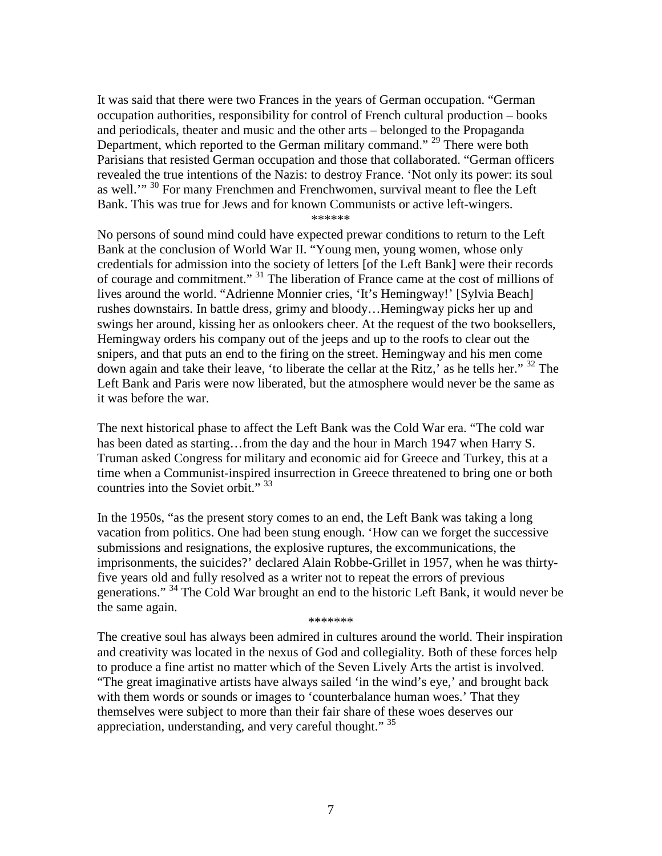It was said that there were two Frances in the years of German occupation. "German occupation authorities, responsibility for control of French cultural production – books and periodicals, theater and music and the other arts – belonged to the Propaganda Department, which reported to the German military command." <sup>29</sup> There were both Parisians that resisted German occupation and those that collaborated. "German officers revealed the true intentions of the Nazis: to destroy France. 'Not only its power: its soul as well."<sup>30</sup> For many Frenchmen and Frenchwomen, survival meant to flee the Left Bank. This was true for Jews and for known Communists or active left-wingers. \*\*\*\*\*\*

No persons of sound mind could have expected prewar conditions to return to the Left Bank at the conclusion of World War II. "Young men, young women, whose only credentials for admission into the society of letters [of the Left Bank] were their records of courage and commitment." <sup>31</sup> The liberation of France came at the cost of millions of lives around the world. "Adrienne Monnier cries, 'It's Hemingway!' [Sylvia Beach] rushes downstairs. In battle dress, grimy and bloody…Hemingway picks her up and swings her around, kissing her as onlookers cheer. At the request of the two booksellers, Hemingway orders his company out of the jeeps and up to the roofs to clear out the snipers, and that puts an end to the firing on the street. Hemingway and his men come down again and take their leave, 'to liberate the cellar at the Ritz,' as he tells her."  $32$  The Left Bank and Paris were now liberated, but the atmosphere would never be the same as it was before the war.

The next historical phase to affect the Left Bank was the Cold War era. "The cold war has been dated as starting...from the day and the hour in March 1947 when Harry S. Truman asked Congress for military and economic aid for Greece and Turkey, this at a time when a Communist-inspired insurrection in Greece threatened to bring one or both countries into the Soviet orbit."<sup>33</sup>

In the 1950s, "as the present story comes to an end, the Left Bank was taking a long vacation from politics. One had been stung enough. 'How can we forget the successive submissions and resignations, the explosive ruptures, the excommunications, the imprisonments, the suicides?' declared Alain Robbe-Grillet in 1957, when he was thirtyfive years old and fully resolved as a writer not to repeat the errors of previous generations." <sup>34</sup> The Cold War brought an end to the historic Left Bank, it would never be the same again.

\*\*\*\*\*\*\*

The creative soul has always been admired in cultures around the world. Their inspiration and creativity was located in the nexus of God and collegiality. Both of these forces help to produce a fine artist no matter which of the Seven Lively Arts the artist is involved. "The great imaginative artists have always sailed 'in the wind's eye,' and brought back with them words or sounds or images to 'counterbalance human woes.' That they themselves were subject to more than their fair share of these woes deserves our appreciation, understanding, and very careful thought." <sup>35</sup>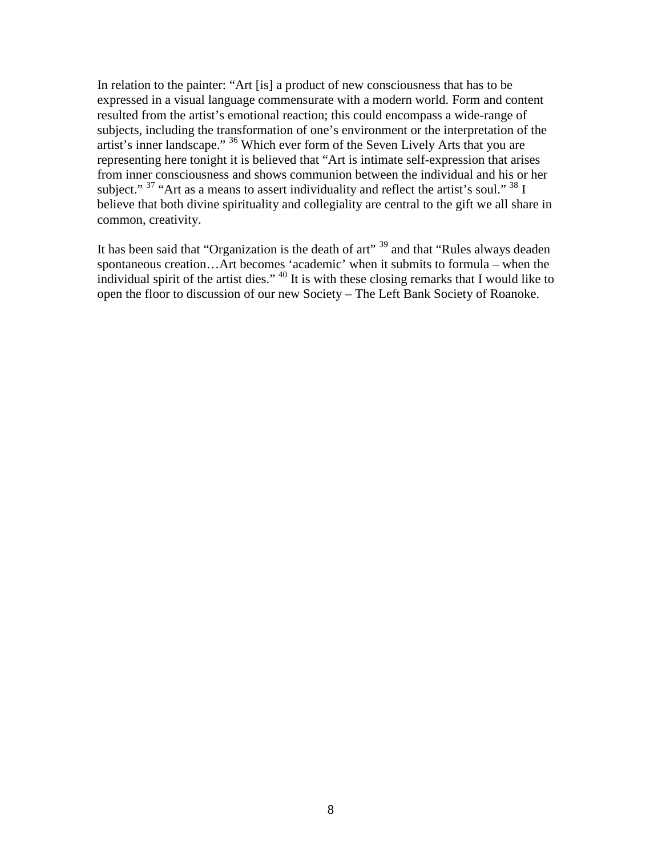In relation to the painter: "Art [is] a product of new consciousness that has to be expressed in a visual language commensurate with a modern world. Form and content resulted from the artist's emotional reaction; this could encompass a wide-range of subjects, including the transformation of one's environment or the interpretation of the artist's inner landscape." <sup>36</sup> Which ever form of the Seven Lively Arts that you are representing here tonight it is believed that "Art is intimate self-expression that arises from inner consciousness and shows communion between the individual and his or her subject."  $37$  "Art as a means to assert individuality and reflect the artist's soul."  $38$  I believe that both divine spirituality and collegiality are central to the gift we all share in common, creativity.

It has been said that "Organization is the death of art"  $39$  and that "Rules always deaden" spontaneous creation…Art becomes 'academic' when it submits to formula – when the individual spirit of the artist dies." <sup>40</sup> It is with these closing remarks that I would like to open the floor to discussion of our new Society – The Left Bank Society of Roanoke.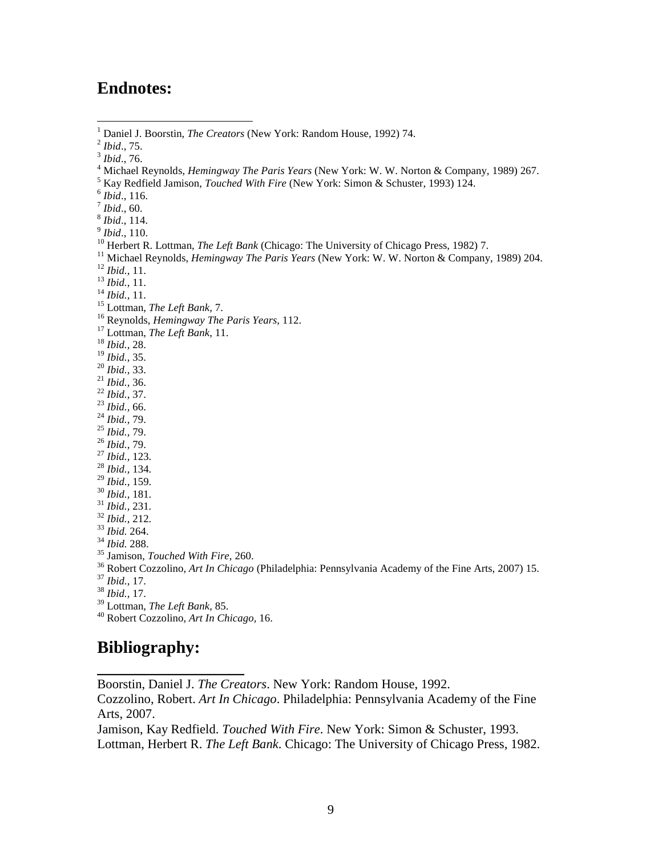## **Endnotes:**

*Ibid*., 110.

- <sup>11</sup> Michael Reynolds, *Hemingway The Paris Years* (New York: W. W. Norton & Company, 1989) 204.
- *Ibid.,* 11.
- *Ibid.,* 11.
- *Ibid.,* 11.
- Lottman, *The Left Bank*, 7.
- Reynolds, *Hemingway The Paris Years*, 112.
- Lottman, *The Left Bank*, 11.
- *Ibid.,* 28.
- *Ibid.,* 35.
- *Ibid.,* 33.
- *Ibid.,* 36.
- *Ibid.,* 37.
- *Ibid.,* 66.
- *Ibid.,* 79.
- *Ibid.,* 79.
- *Ibid.,* 79.
- *Ibid.,* 123.
- *Ibid.,* 134.
- *Ibid.,* 159.
- *Ibid.,* 181.
- *Ibid.,* 231.
- *Ibid.,* 212. *Ibid.* 264.
- *Ibid.* 288.
- 
- Jamison, *Touched With Fire*, 260.
- Robert Cozzolino, *Art In Chicago* (Philadelphia: Pennsylvania Academy of the Fine Arts, 2007) 15.
- *Ibid.,* 17.
- *Ibid.,* 17.
- Lottman, *The Left Bank*, 85.

**\_\_\_\_\_\_\_\_\_\_\_\_\_\_\_\_\_** 

Robert Cozzolino, *Art In Chicago,* 16.

## **Bibliography:**

Boorstin, Daniel J. *The Creators*. New York: Random House, 1992.

Cozzolino, Robert. *Art In Chicago*. Philadelphia: Pennsylvania Academy of the Fine Arts, 2007.

Jamison, Kay Redfield. *Touched With Fire*. New York: Simon & Schuster, 1993. Lottman, Herbert R. *The Left Bank*. Chicago: The University of Chicago Press, 1982.

 $\frac{1}{1}$ Daniel J. Boorstin, *The Creators* (New York: Random House, 1992) 74.

*Ibid*., 75.

*Ibid*., 76.

Michael Reynolds, *Hemingway The Paris Years* (New York: W. W. Norton & Company, 1989) 267.

Kay Redfield Jamison, *Touched With Fire* (New York: Simon & Schuster, 1993) 124.

*Ibid*., 116.

*Ibid*., 60.

*Ibid*., 114.

<sup>&</sup>lt;sup>10</sup> Herbert R. Lottman, *The Left Bank* (Chicago: The University of Chicago Press, 1982) 7.